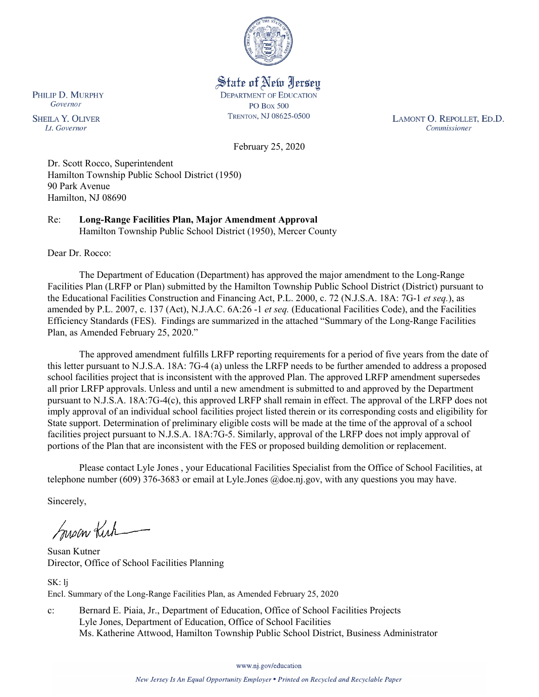

### State of New Jersey **DEPARTMENT OF EDUCATION PO Box 500** TRENTON, NJ 08625-0500

LAMONT O. REPOLLET, ED.D. Commissioner

February 25, 2020

Dr. Scott Rocco, Superintendent Hamilton Township Public School District (1950) 90 Park Avenue Hamilton, NJ 08690

Re: **Long-Range Facilities Plan, Major Amendment Approval** Hamilton Township Public School District (1950), Mercer County

Dear Dr. Rocco:

The Department of Education (Department) has approved the major amendment to the Long-Range Facilities Plan (LRFP or Plan) submitted by the Hamilton Township Public School District (District) pursuant to the Educational Facilities Construction and Financing Act, P.L. 2000, c. 72 (N.J.S.A. 18A: 7G-1 *et seq.*), as amended by P.L. 2007, c. 137 (Act), N.J.A.C. 6A:26 -1 *et seq.* (Educational Facilities Code), and the Facilities Efficiency Standards (FES). Findings are summarized in the attached "Summary of the Long-Range Facilities Plan, as Amended February 25, 2020."

The approved amendment fulfills LRFP reporting requirements for a period of five years from the date of this letter pursuant to N.J.S.A. 18A: 7G-4 (a) unless the LRFP needs to be further amended to address a proposed school facilities project that is inconsistent with the approved Plan. The approved LRFP amendment supersedes all prior LRFP approvals. Unless and until a new amendment is submitted to and approved by the Department pursuant to N.J.S.A. 18A:7G-4(c), this approved LRFP shall remain in effect. The approval of the LRFP does not imply approval of an individual school facilities project listed therein or its corresponding costs and eligibility for State support. Determination of preliminary eligible costs will be made at the time of the approval of a school facilities project pursuant to N.J.S.A. 18A:7G-5. Similarly, approval of the LRFP does not imply approval of portions of the Plan that are inconsistent with the FES or proposed building demolition or replacement.

Please contact Lyle Jones , your Educational Facilities Specialist from the Office of School Facilities, at telephone number (609) 376-3683 or email at Lyle.Jones @doe.nj.gov, with any questions you may have.

Sincerely,

Susan Kich

Susan Kutner Director, Office of School Facilities Planning

SK: lj Encl. Summary of the Long-Range Facilities Plan, as Amended February 25, 2020

c: Bernard E. Piaia, Jr., Department of Education, Office of School Facilities Projects Lyle Jones, Department of Education, Office of School Facilities Ms. Katherine Attwood, Hamilton Township Public School District, Business Administrator

www.nj.gov/education

PHILIP D. MURPHY Governor

**SHEILA Y. OLIVER** Lt. Governor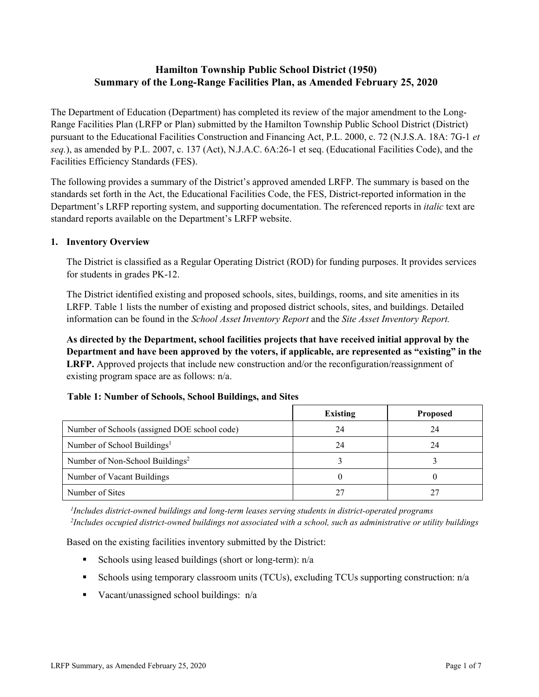# **Hamilton Township Public School District (1950) Summary of the Long-Range Facilities Plan, as Amended February 25, 2020**

The Department of Education (Department) has completed its review of the major amendment to the Long-Range Facilities Plan (LRFP or Plan) submitted by the Hamilton Township Public School District (District) pursuant to the Educational Facilities Construction and Financing Act, P.L. 2000, c. 72 (N.J.S.A. 18A: 7G-1 *et seq.*), as amended by P.L. 2007, c. 137 (Act), N.J.A.C. 6A:26-1 et seq. (Educational Facilities Code), and the Facilities Efficiency Standards (FES).

The following provides a summary of the District's approved amended LRFP. The summary is based on the standards set forth in the Act, the Educational Facilities Code, the FES, District-reported information in the Department's LRFP reporting system, and supporting documentation. The referenced reports in *italic* text are standard reports available on the Department's LRFP website.

#### **1. Inventory Overview**

The District is classified as a Regular Operating District (ROD) for funding purposes. It provides services for students in grades PK-12.

The District identified existing and proposed schools, sites, buildings, rooms, and site amenities in its LRFP. Table 1 lists the number of existing and proposed district schools, sites, and buildings. Detailed information can be found in the *School Asset Inventory Report* and the *Site Asset Inventory Report.*

**As directed by the Department, school facilities projects that have received initial approval by the Department and have been approved by the voters, if applicable, are represented as "existing" in the LRFP.** Approved projects that include new construction and/or the reconfiguration/reassignment of existing program space are as follows: n/a.

|  |  | Table 1: Number of Schools, School Buildings, and Sites |  |
|--|--|---------------------------------------------------------|--|
|--|--|---------------------------------------------------------|--|

|                                              | <b>Existing</b> | Proposed |
|----------------------------------------------|-----------------|----------|
| Number of Schools (assigned DOE school code) | 24              | 24       |
| Number of School Buildings <sup>1</sup>      | 24              | 24       |
| Number of Non-School Buildings <sup>2</sup>  |                 |          |
| Number of Vacant Buildings                   |                 |          |
| Number of Sites                              |                 |          |

*1 Includes district-owned buildings and long-term leases serving students in district-operated programs 2 Includes occupied district-owned buildings not associated with a school, such as administrative or utility buildings*

Based on the existing facilities inventory submitted by the District:

- Schools using leased buildings (short or long-term):  $n/a$
- Schools using temporary classroom units (TCUs), excluding TCUs supporting construction: n/a
- Vacant/unassigned school buildings:  $n/a$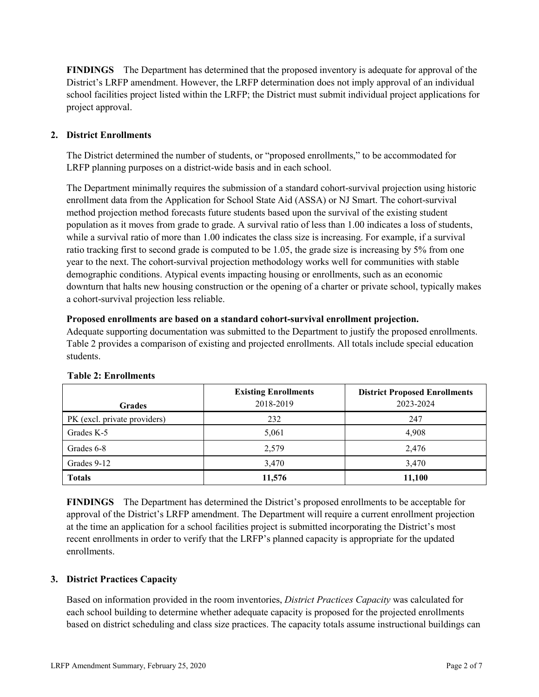**FINDINGS** The Department has determined that the proposed inventory is adequate for approval of the District's LRFP amendment. However, the LRFP determination does not imply approval of an individual school facilities project listed within the LRFP; the District must submit individual project applications for project approval.

# **2. District Enrollments**

The District determined the number of students, or "proposed enrollments," to be accommodated for LRFP planning purposes on a district-wide basis and in each school.

The Department minimally requires the submission of a standard cohort-survival projection using historic enrollment data from the Application for School State Aid (ASSA) or NJ Smart. The cohort-survival method projection method forecasts future students based upon the survival of the existing student population as it moves from grade to grade. A survival ratio of less than 1.00 indicates a loss of students, while a survival ratio of more than 1.00 indicates the class size is increasing. For example, if a survival ratio tracking first to second grade is computed to be 1.05, the grade size is increasing by 5% from one year to the next. The cohort-survival projection methodology works well for communities with stable demographic conditions. Atypical events impacting housing or enrollments, such as an economic downturn that halts new housing construction or the opening of a charter or private school, typically makes a cohort-survival projection less reliable.

#### **Proposed enrollments are based on a standard cohort-survival enrollment projection.**

Adequate supporting documentation was submitted to the Department to justify the proposed enrollments. Table 2 provides a comparison of existing and projected enrollments. All totals include special education students.

|                              | <b>Existing Enrollments</b> | <b>District Proposed Enrollments</b> |
|------------------------------|-----------------------------|--------------------------------------|
| <b>Grades</b>                | 2018-2019                   | 2023-2024                            |
| PK (excl. private providers) | 232                         | 247                                  |
| Grades K-5                   | 5,061                       | 4,908                                |
| Grades 6-8                   | 2,579                       | 2,476                                |
| Grades 9-12                  | 3,470                       | 3,470                                |
| <b>Totals</b>                | 11,576                      | 11,100                               |

#### **Table 2: Enrollments**

**FINDINGS** The Department has determined the District's proposed enrollments to be acceptable for approval of the District's LRFP amendment. The Department will require a current enrollment projection at the time an application for a school facilities project is submitted incorporating the District's most recent enrollments in order to verify that the LRFP's planned capacity is appropriate for the updated enrollments.

# **3. District Practices Capacity**

Based on information provided in the room inventories, *District Practices Capacity* was calculated for each school building to determine whether adequate capacity is proposed for the projected enrollments based on district scheduling and class size practices. The capacity totals assume instructional buildings can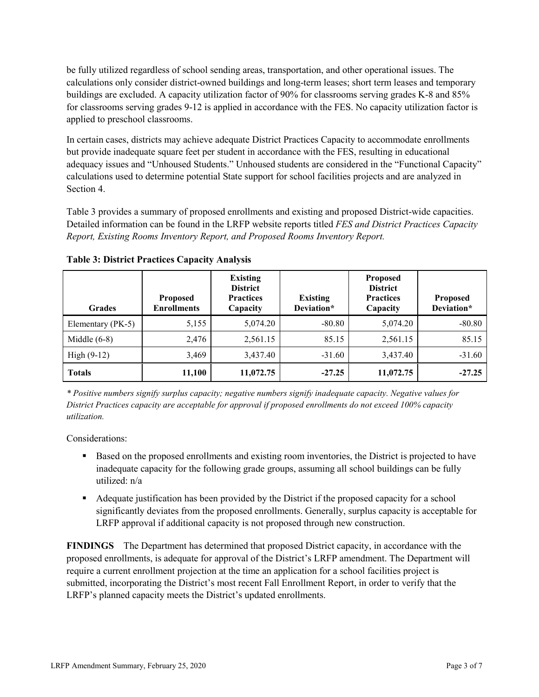be fully utilized regardless of school sending areas, transportation, and other operational issues. The calculations only consider district-owned buildings and long-term leases; short term leases and temporary buildings are excluded. A capacity utilization factor of 90% for classrooms serving grades K-8 and 85% for classrooms serving grades 9-12 is applied in accordance with the FES. No capacity utilization factor is applied to preschool classrooms.

In certain cases, districts may achieve adequate District Practices Capacity to accommodate enrollments but provide inadequate square feet per student in accordance with the FES, resulting in educational adequacy issues and "Unhoused Students." Unhoused students are considered in the "Functional Capacity" calculations used to determine potential State support for school facilities projects and are analyzed in Section 4.

Table 3 provides a summary of proposed enrollments and existing and proposed District-wide capacities. Detailed information can be found in the LRFP website reports titled *FES and District Practices Capacity Report, Existing Rooms Inventory Report, and Proposed Rooms Inventory Report.*

| <b>Grades</b>     | <b>Proposed</b><br><b>Enrollments</b> | <b>Existing</b><br><b>District</b><br><b>Practices</b><br>Capacity | <b>Existing</b><br>Deviation* | <b>Proposed</b><br><b>District</b><br><b>Practices</b><br>Capacity | Proposed<br>Deviation* |
|-------------------|---------------------------------------|--------------------------------------------------------------------|-------------------------------|--------------------------------------------------------------------|------------------------|
| Elementary (PK-5) | 5,155                                 | 5,074.20                                                           | $-80.80$                      | 5,074.20                                                           | $-80.80$               |
| Middle $(6-8)$    | 2,476                                 | 2,561.15                                                           | 85.15                         | 2,561.15                                                           | 85.15                  |
| High $(9-12)$     | 3,469                                 | 3,437.40                                                           | $-31.60$                      | 3,437.40                                                           | $-31.60$               |
| <b>Totals</b>     | 11,100                                | 11,072.75                                                          | $-27.25$                      | 11,072.75                                                          | $-27.25$               |

**Table 3: District Practices Capacity Analysis**

*\* Positive numbers signify surplus capacity; negative numbers signify inadequate capacity. Negative values for District Practices capacity are acceptable for approval if proposed enrollments do not exceed 100% capacity utilization.*

Considerations:

- **Based on the proposed enrollments and existing room inventories, the District is projected to have** inadequate capacity for the following grade groups, assuming all school buildings can be fully utilized: n/a
- Adequate justification has been provided by the District if the proposed capacity for a school significantly deviates from the proposed enrollments. Generally, surplus capacity is acceptable for LRFP approval if additional capacity is not proposed through new construction.

**FINDINGS**The Department has determined that proposed District capacity, in accordance with the proposed enrollments, is adequate for approval of the District's LRFP amendment. The Department will require a current enrollment projection at the time an application for a school facilities project is submitted, incorporating the District's most recent Fall Enrollment Report, in order to verify that the LRFP's planned capacity meets the District's updated enrollments.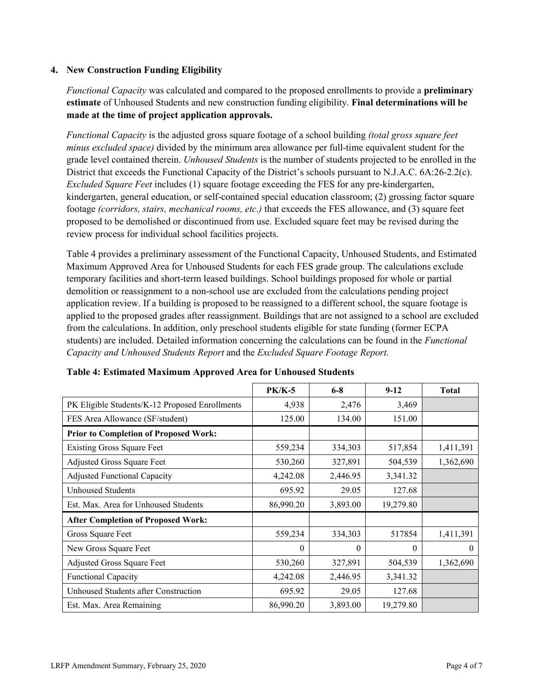### **4. New Construction Funding Eligibility**

*Functional Capacity* was calculated and compared to the proposed enrollments to provide a **preliminary estimate** of Unhoused Students and new construction funding eligibility. **Final determinations will be made at the time of project application approvals.**

*Functional Capacity* is the adjusted gross square footage of a school building *(total gross square feet minus excluded space)* divided by the minimum area allowance per full-time equivalent student for the grade level contained therein. *Unhoused Students* is the number of students projected to be enrolled in the District that exceeds the Functional Capacity of the District's schools pursuant to N.J.A.C. 6A:26-2.2(c). *Excluded Square Feet* includes (1) square footage exceeding the FES for any pre-kindergarten, kindergarten, general education, or self-contained special education classroom; (2) grossing factor square footage *(corridors, stairs, mechanical rooms, etc.)* that exceeds the FES allowance, and (3) square feet proposed to be demolished or discontinued from use. Excluded square feet may be revised during the review process for individual school facilities projects.

Table 4 provides a preliminary assessment of the Functional Capacity, Unhoused Students, and Estimated Maximum Approved Area for Unhoused Students for each FES grade group. The calculations exclude temporary facilities and short-term leased buildings. School buildings proposed for whole or partial demolition or reassignment to a non-school use are excluded from the calculations pending project application review. If a building is proposed to be reassigned to a different school, the square footage is applied to the proposed grades after reassignment. Buildings that are not assigned to a school are excluded from the calculations. In addition, only preschool students eligible for state funding (former ECPA students) are included. Detailed information concerning the calculations can be found in the *Functional Capacity and Unhoused Students Report* and the *Excluded Square Footage Report.*

|                                                | <b>PK/K-5</b> | $6 - 8$  | $9 - 12$  | <b>Total</b> |
|------------------------------------------------|---------------|----------|-----------|--------------|
| PK Eligible Students/K-12 Proposed Enrollments | 4,938         | 2,476    | 3,469     |              |
| FES Area Allowance (SF/student)                | 125.00        | 134.00   | 151.00    |              |
| <b>Prior to Completion of Proposed Work:</b>   |               |          |           |              |
| <b>Existing Gross Square Feet</b>              | 559,234       | 334,303  | 517,854   | 1,411,391    |
| Adjusted Gross Square Feet                     | 530,260       | 327,891  | 504,539   | 1,362,690    |
| <b>Adjusted Functional Capacity</b>            | 4,242.08      | 2,446.95 | 3,341.32  |              |
| Unhoused Students                              | 695.92        | 29.05    | 127.68    |              |
| Est. Max. Area for Unhoused Students           | 86,990.20     | 3,893.00 | 19,279.80 |              |
| <b>After Completion of Proposed Work:</b>      |               |          |           |              |
| Gross Square Feet                              | 559,234       | 334,303  | 517854    | 1,411,391    |
| New Gross Square Feet                          | $\theta$      | 0        | $\Omega$  | $\theta$     |
| Adjusted Gross Square Feet                     | 530,260       | 327,891  | 504,539   | 1,362,690    |
| Functional Capacity                            | 4,242.08      | 2,446.95 | 3,341.32  |              |
| Unhoused Students after Construction           | 695.92        | 29.05    | 127.68    |              |
| Est. Max. Area Remaining                       | 86,990.20     | 3,893.00 | 19,279.80 |              |

| Table 4: Estimated Maximum Approved Area for Unhoused Students |  |  |
|----------------------------------------------------------------|--|--|
|----------------------------------------------------------------|--|--|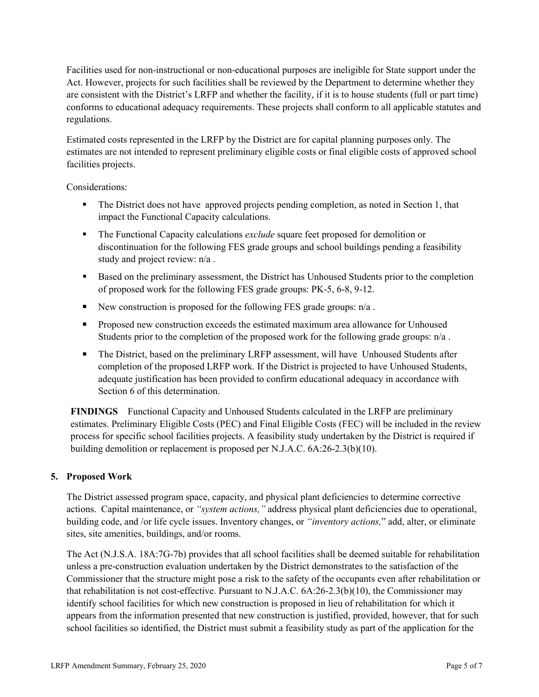Facilities used for non-instructional or non-educational purposes are ineligible for State support under the Act. However, projects for such facilities shall be reviewed by the Department to determine whether they are consistent with the District's LRFP and whether the facility, if it is to house students (full or part time) conforms to educational adequacy requirements. These projects shall conform to all applicable statutes and regulations.

Estimated costs represented in the LRFP by the District are for capital planning purposes only. The estimates are not intended to represent preliminary eligible costs or final eligible costs of approved school facilities projects.

Considerations:

- The District does not have approved projects pending completion, as noted in Section 1, that impact the Functional Capacity calculations.
- The Functional Capacity calculations *exclude* square feet proposed for demolition or discontinuation for the following FES grade groups and school buildings pending a feasibility study and project review: n/a .
- Based on the preliminary assessment, the District has Unhoused Students prior to the completion of proposed work for the following FES grade groups: PK-5, 6-8, 9-12.
- New construction is proposed for the following FES grade groups:  $n/a$ .
- **Proposed new construction exceeds the estimated maximum area allowance for Unhoused** Students prior to the completion of the proposed work for the following grade groups:  $n/a$ .
- The District, based on the preliminary LRFP assessment, will have Unhoused Students after completion of the proposed LRFP work. If the District is projected to have Unhoused Students, adequate justification has been provided to confirm educational adequacy in accordance with Section 6 of this determination.

**FINDINGS** Functional Capacity and Unhoused Students calculated in the LRFP are preliminary estimates. Preliminary Eligible Costs (PEC) and Final Eligible Costs (FEC) will be included in the review process for specific school facilities projects. A feasibility study undertaken by the District is required if building demolition or replacement is proposed per N.J.A.C. 6A:26-2.3(b)(10).

# **5. Proposed Work**

The District assessed program space, capacity, and physical plant deficiencies to determine corrective actions. Capital maintenance, or *"system actions,"* address physical plant deficiencies due to operational, building code, and /or life cycle issues. Inventory changes, or *"inventory actions,*" add, alter, or eliminate sites, site amenities, buildings, and/or rooms.

The Act (N.J.S.A. 18A:7G-7b) provides that all school facilities shall be deemed suitable for rehabilitation unless a pre-construction evaluation undertaken by the District demonstrates to the satisfaction of the Commissioner that the structure might pose a risk to the safety of the occupants even after rehabilitation or that rehabilitation is not cost-effective. Pursuant to N.J.A.C. 6A:26-2.3(b)(10), the Commissioner may identify school facilities for which new construction is proposed in lieu of rehabilitation for which it appears from the information presented that new construction is justified, provided, however, that for such school facilities so identified, the District must submit a feasibility study as part of the application for the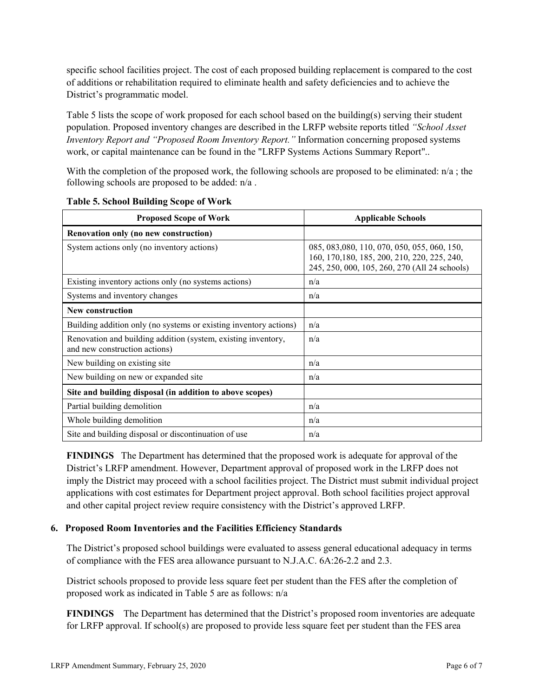specific school facilities project. The cost of each proposed building replacement is compared to the cost of additions or rehabilitation required to eliminate health and safety deficiencies and to achieve the District's programmatic model.

Table 5 lists the scope of work proposed for each school based on the building(s) serving their student population. Proposed inventory changes are described in the LRFP website reports titled *"School Asset Inventory Report and "Proposed Room Inventory Report."* Information concerning proposed systems work, or capital maintenance can be found in the "LRFP Systems Actions Summary Report"..

With the completion of the proposed work, the following schools are proposed to be eliminated:  $n/a$ ; the following schools are proposed to be added: n/a .

| <b>Proposed Scope of Work</b>                                                                  | <b>Applicable Schools</b>                                                                                                                     |  |  |
|------------------------------------------------------------------------------------------------|-----------------------------------------------------------------------------------------------------------------------------------------------|--|--|
| Renovation only (no new construction)                                                          |                                                                                                                                               |  |  |
| System actions only (no inventory actions)                                                     | 085, 083, 080, 110, 070, 050, 055, 060, 150,<br>160, 170, 180, 185, 200, 210, 220, 225, 240,<br>245, 250, 000, 105, 260, 270 (All 24 schools) |  |  |
| Existing inventory actions only (no systems actions)                                           | n/a                                                                                                                                           |  |  |
| Systems and inventory changes                                                                  | n/a                                                                                                                                           |  |  |
| <b>New construction</b>                                                                        |                                                                                                                                               |  |  |
| Building addition only (no systems or existing inventory actions)                              | n/a                                                                                                                                           |  |  |
| Renovation and building addition (system, existing inventory,<br>and new construction actions) | n/a                                                                                                                                           |  |  |
| New building on existing site.                                                                 | n/a                                                                                                                                           |  |  |
| New building on new or expanded site                                                           | n/a                                                                                                                                           |  |  |
| Site and building disposal (in addition to above scopes)                                       |                                                                                                                                               |  |  |
| Partial building demolition                                                                    | n/a                                                                                                                                           |  |  |
| Whole building demolition                                                                      | n/a                                                                                                                                           |  |  |
| Site and building disposal or discontinuation of use                                           | n/a                                                                                                                                           |  |  |

**FINDINGS** The Department has determined that the proposed work is adequate for approval of the District's LRFP amendment. However, Department approval of proposed work in the LRFP does not imply the District may proceed with a school facilities project. The District must submit individual project applications with cost estimates for Department project approval. Both school facilities project approval and other capital project review require consistency with the District's approved LRFP.

#### **6. Proposed Room Inventories and the Facilities Efficiency Standards**

The District's proposed school buildings were evaluated to assess general educational adequacy in terms of compliance with the FES area allowance pursuant to N.J.A.C. 6A:26-2.2 and 2.3.

District schools proposed to provide less square feet per student than the FES after the completion of proposed work as indicated in Table 5 are as follows: n/a

**FINDINGS** The Department has determined that the District's proposed room inventories are adequate for LRFP approval. If school(s) are proposed to provide less square feet per student than the FES area